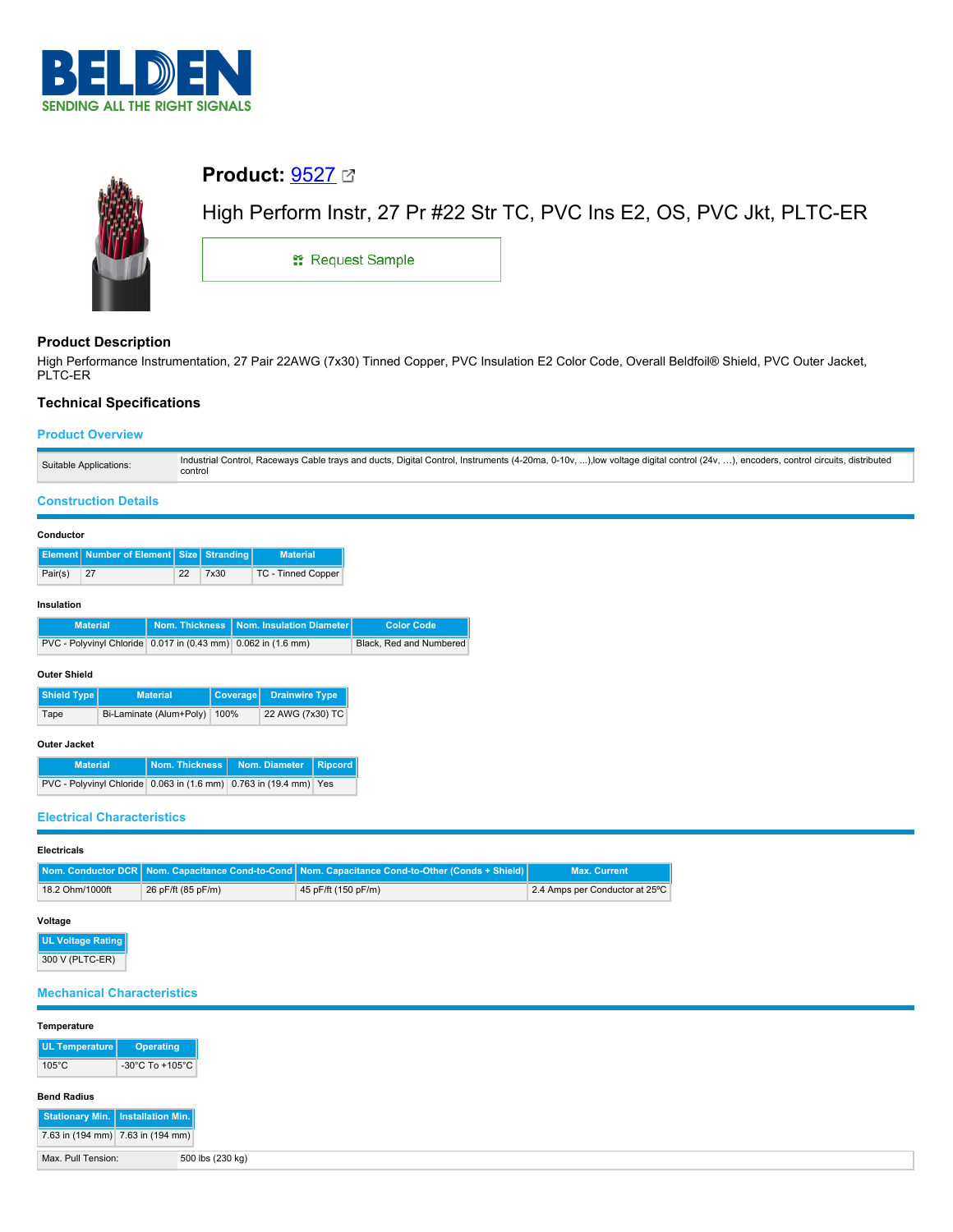



## **Product:** [9527](https://catalog.belden.com/index.cfm?event=pd&p=PF_9527&tab=downloads)

# High Perform Instr, 27 Pr #22 Str TC, PVC Ins E2, OS, PVC Jkt, PLTC-ER

**::** Request Sample

### **Product Description**

High Performance Instrumentation, 27 Pair 22AWG (7x30) Tinned Copper, PVC Insulation E2 Color Code, Overall Beldfoil® Shield, PVC Outer Jacket, PLTC-ER

#### **Technical Specifications**

#### **Product Overview**

| Suitable Applications: | Industrial Control, Raceways Cable trays and ducts, Digital Control, Instruments (4-20ma, 0-10v, ), low voltage digital control (24v, ).<br>), encoders, control circuits, distributed<br>control |
|------------------------|---------------------------------------------------------------------------------------------------------------------------------------------------------------------------------------------------|
|                        |                                                                                                                                                                                                   |

#### **Construction Details**

#### **Conductor**

|         | Element Number of Element Size Stranding |    |      | <b>Material</b>    |
|---------|------------------------------------------|----|------|--------------------|
| Pair(s) | $\sqrt{27}$                              | 22 | 7x30 | TC - Tinned Copper |

#### **Insulation**

| <b>Material</b>                                               | Nom. Thickness   Nom. Insulation Diameter | <b>Color Code</b>       |
|---------------------------------------------------------------|-------------------------------------------|-------------------------|
| PVC - Polyvinyl Chloride 0.017 in (0.43 mm) 0.062 in (1.6 mm) |                                           | Black, Red and Numbered |

#### **Outer Shield**

| Shield Type                          | <b>Material</b> | Coverage | <b>Drainwire Type</b> |
|--------------------------------------|-----------------|----------|-----------------------|
| Bi-Laminate (Alum+Poly) 100%<br>Tape |                 |          | 22 AWG (7x30) TC      |

#### **Outer Jacket**

| <b>Material</b>                                                   | Nom. Thickness   Nom. Diameter   Ripcord |  |
|-------------------------------------------------------------------|------------------------------------------|--|
| PVC - Polyvinyl Chloride 0.063 in (1.6 mm) 0.763 in (19.4 mm) Yes |                                          |  |

#### **Electrical Characteristics**

#### **Electricals**

|                 |                    | Nom. Conductor DCR   Nom. Capacitance Cond-to-Cond   Nom. Capacitance Cond-to-Other (Conds + Shield)   A | <b>Max. Current</b>            |
|-----------------|--------------------|----------------------------------------------------------------------------------------------------------|--------------------------------|
| 18.2 Ohm/1000ft | 26 pF/ft (85 pF/m) | 45 pF/ft (150 pF/m)                                                                                      | 2.4 Amps per Conductor at 25°C |

#### **Voltage**

**UL Voltage Rating** 300 V (PLTC-ER)

#### **Mechanical Characteristics**

| Temperature                         |                  |
|-------------------------------------|------------------|
| UL Temperature                      | Operating        |
| $105^{\circ}$ C                     | -30°C To +105°C  |
| <b>Bend Radius</b>                  |                  |
| Stationary Min.   Installation Min. |                  |
| 7.63 in (194 mm) 7.63 in (194 mm)   |                  |
| Max. Pull Tension:                  | 500 lbs (230 kg) |